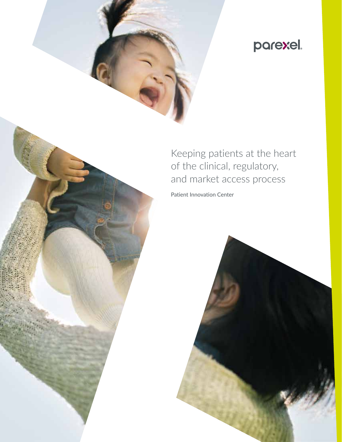# parexel.

Keeping patients at the heart of the clinical, regulatory, and market access process

Patient Innovation Center

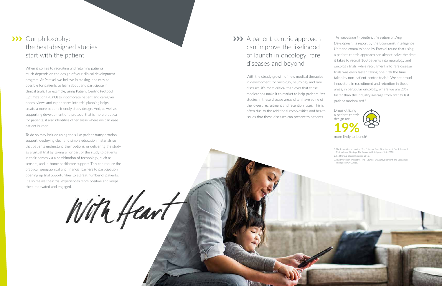## >>> Our philosophy: the best-designed studies start with the patient

When it comes to recruiting and retaining patients, much depends on the design of your clinical development program. At Parexel, we believe in making it as easy as possible for patients to learn about and participate in clinical trials. For example, using Patient Centric Protocol Optimization (PCPO) to incorporate patient and caregiver needs, views and experiences into trial planning helps create a more patient-friendly study design. And, as well as supporting development of a protocol that is more practical for patients, it also identifies other areas where we can ease patient burden.

## >>> A patient-centric approach can improve the likelihood of launch in oncology, rare diseases and beyond

To do so may include using tools like patient transportation support, deploying clear and simple education materials so that patients understand their options, or delivering the study as a virtual trial by taking all or part of the study to patients in their homes via a combination of technology, such as sensors, and in-home healthcare support. This can reduce the practical, geographical and financial barriers to participation, opening up trial opportunities to a great number of patients. It also makes their trial experiences more positive and keeps them motivated and engaged.

With Heart

more likely to launch<sup>3</sup> **19%**

With the steady growth of new medical therapies in development for oncology, neurology and rare diseases, it's more critical than ever that these medications make it to market to help patients. Yet studies in these disease areas often have some of the lowest recruitment and retention rates. This is often due to the additional complexities and health issues that these diseases can present to patients.

*The Innovation Imperative: The Future of Drug Development*, a report by the Economist Intelligence Unit and commissioned by Parexel found that using a patient-centric approach can almost halve the time it takes to recruit 100 patients into neurology and oncology trials, while recruitment into rare disease trials was even faster, taking one fifth the time taken by non-patient-centric trials. 1 We are proud innovators in recruitment and retention in these areas, in particular oncology, where we are 29% faster than the industry average from first to last patient randomized. 2

Drugs utilizing a patient-centric design are



1.The Innovation Imperative: The Future of Drug Development, Part I: Research Methods and Findings, The Economist Intelligence Unit, 2018.

2.KMR Group Clinical Program, 2015.

3.The Innovation Imperative: The Future of Drug Development, The Economist Intelligence Unit, 2018.

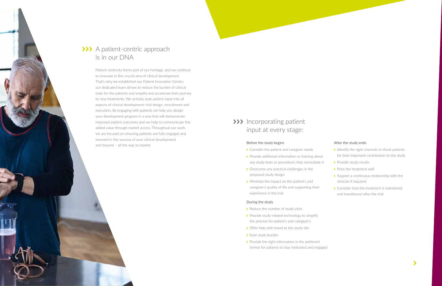## >>> Incorporating patient input at every stage:

#### Before the study begins

- > Consider the patient and caregiver needs
- > Provide additional information or training about any study tests or procedures that necessitate it
- **▶** Overcome any practical challenges in the proposed study design
- **>** Minimize the impact on the patient's and caregiver's quality of life and supporting their experience in the trial

- $\rightarrow$  Reduce the number of study visits
- Provide study-related technology to simplify the process for patient's and caregiver's
- > Offer help with travel to the study site
- > Ease study burden
- Provide the right information in the preferred format for patients to stay motivated and engaged

#### During the study

- $\blacktriangleright$  Identify the right channels to thank patients for their important contribution to the study
- > Provide study results
- > Price the treatment well
- Support a continuous relationship with the clinician if required
- > Consider how the treatment is maintained and transitioned after the trial



## >>> A patient-centric approach is in our DNA

### After the study ends

Patient-centricity forms part of our heritage, and we continue to innovate in this crucial area of clinical development. That's why we established our Patient Innovation Center; our dedicated team strives to reduce the burden of clinical trials for the patients and simplify and accelerate their journey to new treatments. We actively seek patient input into all aspects of clinical development: trial design, recruitment and execution. By engaging with patients we help you design your development program in a way that will demonstrate improved patient outcomes and we help to communicate this added value through market access. Throughout our work, we are focused on ensuring patients are fully engaged and invested in the success of your clinical development and beyond – all the way to market.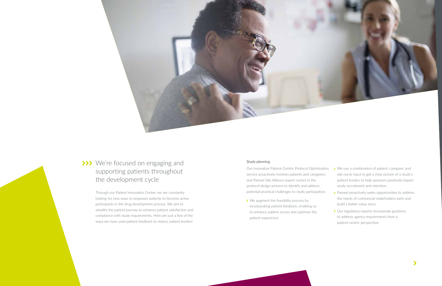### Study planning

Our innovative Patient-Centric Protocol Optimization service proactively involves patients and caregivers and Parexel Site Alliance expert nurses in the protocol design process to identify and address potential practical challenges to study participation.

We augment the feasibility process by incorporating patient feedback, enabling us to enhance patient access and optimize the patient experience

## ◆ We use a combination of patient, caregiver, and site nurse input to get a clear picture of a study's patient burden to help sponsors positively impact study recruitment and retention

- > Parexel proactively seeks opportunities to address the needs of commercial stakeholders early and build a better value story
	- > Our regulatory experts incorporate guidance to address agency requirements from a patient-centric perspective





## >>> We're focused on engaging and supporting patients throughout the development cycle

Through our Patient Innovation Center, we are constantly looking for new ways to empower patients to become active participants in the drug development process. We aim to simplify the patient journey to enhance patient satisfaction and compliance with study requirements. Here are just a few of the ways we have used patient feedback to reduce patient burden: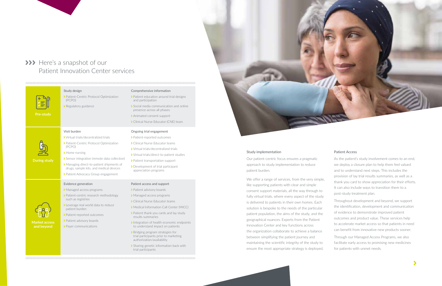## >>> Here's a snapshot of our Patient Innovation Center services

#### 

#### Study design

Patient-Centric Protocol Optimization (PCPO)

> Regulatory guidance

#### Comprehensive information

- > Patient education around trial designs and participation
- Social media communication and online presence across all phases
- > Animated consent support
- ▶ Clinical Nurse Educator (CNE) team

 Virtual trials/decentralized trials Patient-Centric Protocol Optimization (PCPO) > Home nursing Sensor integration (remote data collection) Managing direct-to-patient shipments of drugs, sample kits, and medical devices > Patient Advocacy Group engagement **Market access and beyond** Evidence generation > Managed access programs > Patient-centric research methodology such as registries Leverage real world data to reduce patient burden > Patient-reported outcomes > Patient advisory boards > Payer communications

**During study**

Visit burden

- > Patient-reported outcomes
- > Clinical Nurse Educator teams
- Virtual trials/decentralized trials
- Virtual trials/direct-to-patient studies
- > Patient transportation support
- Development of trial participant appreciation programs

#### Ongoing trial engagement

- > Patient advisory boards
- > Managed access programs
- > Clinical Nurse Educator teams
- Medical Information Call Center (MICC)
- > Patient thank you cards and lay study results summaries
- Integration of health economic endpoints to understand impact on patients
- > Bridging program strategies for trial participants prior to marketing authorization/availability
- Sharing genetic information back with trial participants

#### Patient access and support

Study implementation

Our patient-centric focus ensures a pragmatic

approach to study implementation to reduce patient burden.

We offer a range of services, from the very simple, like supporting patients with clear and simple consent support materials, all the way through to fully virtual trials, where every aspect of the study is delivered to patients in their own homes. Each solution is bespoke to the needs of the particular patient population, the aims of the study, and the geographical nuances. Experts from the Patient Innovation Center and key functions across the organization collaborate to achieve a balance between simplifying the patient journey and maintaining the scientific integrity of the study to ensure the most appropriate strategy is deployed.





#### Patient Access

As the patient's study involvement comes to an end, we deploy a closure plan to help them feel valued and to understand next steps. This includes the provision of lay trial results summaries, as well as a thank you card to show appreciation for their efforts. It can also include ways to transition them to a post-study treatment plan.

Throughout development and beyond, we support the identification, development and communication of evidence to demonstrate improved patient outcomes and product value. These services help to accelerate market access so that patients in need can benefit from innovative new products sooner.

Through our Managed Access Programs, we also facilitate early access to promising new medicines for patients with unmet needs.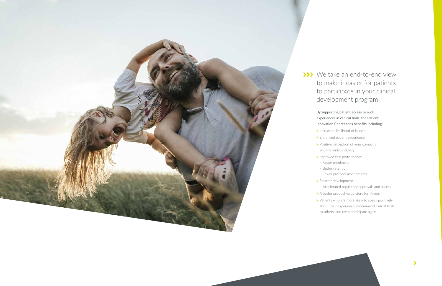

## >>> We take an end-to-end view to make it easier for patients to participate in your clinical development program

## By supporting patient access to and experiences in clinical trials, the Patient Innovation Center sees benefits including:

- Increased likelihood of launch
- > Enhanced patient experience
- Positive perception of your company
- and the wider industry
- Improved trial performance
- Faster enrolment
- Better retention
- Fewer protocol amendments
- > Smarter development
- Accelerated regulatory approvals and access
- > A better product value story for Payers
- > Patients who are more likely to speak positively
- about their experience, recommend clinical trials

 $\blacktriangleright$ 

to others, and even participate again